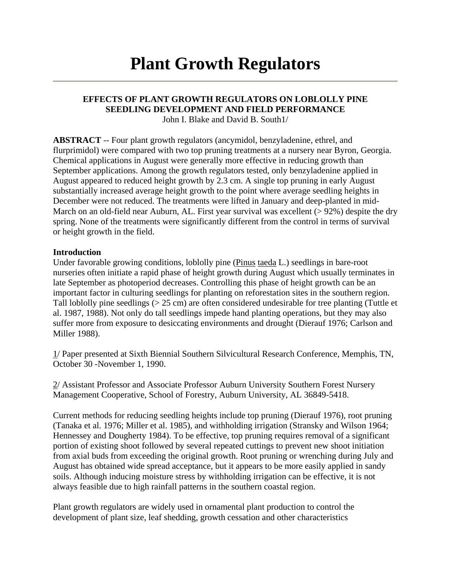# **Plant Growth Regulators**

#### **EFFECTS OF PLANT GROWTH REGULATORS ON LOBLOLLY PINE SEEDLING DEVELOPMENT AND FIELD PERFORMANCE** John I. Blake and David B. South1/

**ABSTRACT** -- Four plant growth regulators (ancymidol, benzyladenine, ethrel, and flurprimidol) were compared with two top pruning treatments at a nursery near Byron, Georgia. Chemical applications in August were generally more effective in reducing growth than September applications. Among the growth regulators tested, only benzyladenine applied in August appeared to reduced height growth by 2.3 cm. A single top pruning in early August substantially increased average height growth to the point where average seedling heights in December were not reduced. The treatments were lifted in January and deep-planted in mid-March on an old-field near Auburn, AL. First year survival was excellent (> 92%) despite the dry spring. None of the treatments were significantly different from the control in terms of survival or height growth in the field.

### **Introduction**

Under favorable growing conditions, loblolly pine (Pinus taeda L.) seedlings in bare-root nurseries often initiate a rapid phase of height growth during August which usually terminates in late September as photoperiod decreases. Controlling this phase of height growth can be an important factor in culturing seedlings for planting on reforestation sites in the southern region. Tall loblolly pine seedlings (> 25 cm) are often considered undesirable for tree planting (Tuttle et al. 1987, 1988). Not only do tall seedlings impede hand planting operations, but they may also suffer more from exposure to desiccating environments and drought (Dierauf 1976; Carlson and Miller 1988).

1/ Paper presented at Sixth Biennial Southern Silvicultural Research Conference, Memphis, TN, October 30 -November 1, 1990.

2/ Assistant Professor and Associate Professor Auburn University Southern Forest Nursery Management Cooperative, School of Forestry, Auburn University, AL 36849-5418.

Current methods for reducing seedling heights include top pruning (Dierauf 1976), root pruning (Tanaka et al. 1976; Miller et al. 1985), and withholding irrigation (Stransky and Wilson 1964; Hennessey and Dougherty 1984). To be effective, top pruning requires removal of a significant portion of existing shoot followed by several repeated cuttings to prevent new shoot initiation from axial buds from exceeding the original growth. Root pruning or wrenching during July and August has obtained wide spread acceptance, but it appears to be more easily applied in sandy soils. Although inducing moisture stress by withholding irrigation can be effective, it is not always feasible due to high rainfall patterns in the southern coastal region.

Plant growth regulators are widely used in ornamental plant production to control the development of plant size, leaf shedding, growth cessation and other characteristics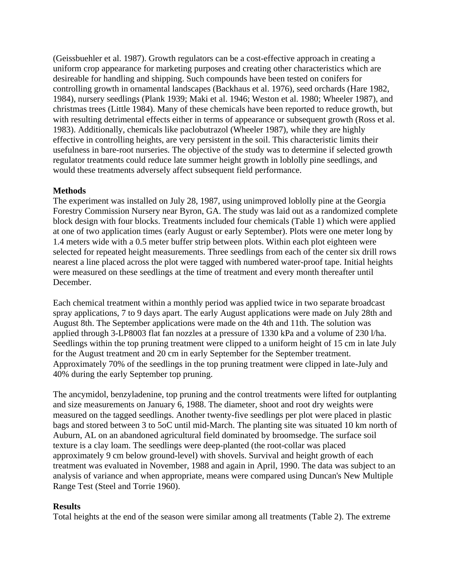(Geissbuehler et al. 1987). Growth regulators can be a cost-effective approach in creating a uniform crop appearance for marketing purposes and creating other characteristics which are desireable for handling and shipping. Such compounds have been tested on conifers for controlling growth in ornamental landscapes (Backhaus et al. 1976), seed orchards (Hare 1982, 1984), nursery seedlings (Plank 1939; Maki et al. 1946; Weston et al. 1980; Wheeler 1987), and christmas trees (Little 1984). Many of these chemicals have been reported to reduce growth, but with resulting detrimental effects either in terms of appearance or subsequent growth (Ross et al. 1983). Additionally, chemicals like paclobutrazol (Wheeler 1987), while they are highly effective in controlling heights, are very persistent in the soil. This characteristic limits their usefulness in bare-root nurseries. The objective of the study was to determine if selected growth regulator treatments could reduce late summer height growth in loblolly pine seedlings, and would these treatments adversely affect subsequent field performance.

# **Methods**

The experiment was installed on July 28, 1987, using unimproved loblolly pine at the Georgia Forestry Commission Nursery near Byron, GA. The study was laid out as a randomized complete block design with four blocks. Treatments included four chemicals (Table 1) which were applied at one of two application times (early August or early September). Plots were one meter long by 1.4 meters wide with a 0.5 meter buffer strip between plots. Within each plot eighteen were selected for repeated height measurements. Three seedlings from each of the center six drill rows nearest a line placed across the plot were tagged with numbered water-proof tape. Initial heights were measured on these seedlings at the time of treatment and every month thereafter until December.

Each chemical treatment within a monthly period was applied twice in two separate broadcast spray applications, 7 to 9 days apart. The early August applications were made on July 28th and August 8th. The September applications were made on the 4th and 11th. The solution was applied through 3-LP8003 flat fan nozzles at a pressure of 1330 kPa and a volume of 230 l/ha. Seedlings within the top pruning treatment were clipped to a uniform height of 15 cm in late July for the August treatment and 20 cm in early September for the September treatment. Approximately 70% of the seedlings in the top pruning treatment were clipped in late-July and 40% during the early September top pruning.

The ancymidol, benzyladenine, top pruning and the control treatments were lifted for outplanting and size measurements on January 6, 1988. The diameter, shoot and root dry weights were measured on the tagged seedlings. Another twenty-five seedlings per plot were placed in plastic bags and stored between 3 to 5oC until mid-March. The planting site was situated 10 km north of Auburn, AL on an abandoned agricultural field dominated by broomsedge. The surface soil texture is a clay loam. The seedlings were deep-planted (the root-collar was placed approximately 9 cm below ground-level) with shovels. Survival and height growth of each treatment was evaluated in November, 1988 and again in April, 1990. The data was subject to an analysis of variance and when appropriate, means were compared using Duncan's New Multiple Range Test (Steel and Torrie 1960).

### **Results**

Total heights at the end of the season were similar among all treatments (Table 2). The extreme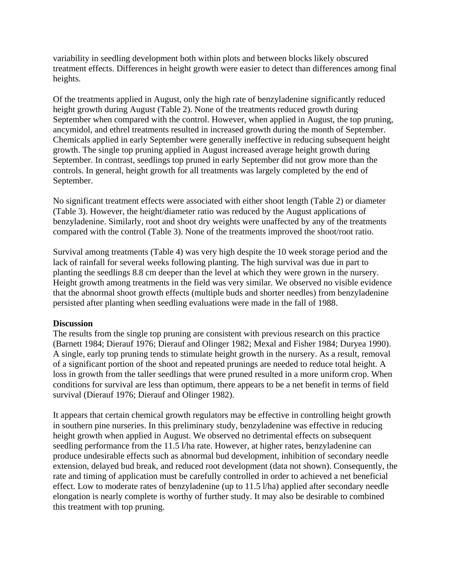variability in seedling development both within plots and between blocks likely obscured treatment effects. Differences in height growth were easier to detect than differences among final heights.

Of the treatments applied in August, only the high rate of benzyladenine significantly reduced height growth during August (Table 2). None of the treatments reduced growth during September when compared with the control. However, when applied in August, the top pruning, ancymidol, and ethrel treatments resulted in increased growth during the month of September. Chemicals applied in early September were generally ineffective in reducing subsequent height growth. The single top pruning applied in August increased average height growth during September. In contrast, seedlings top pruned in early September did not grow more than the controls. In general, height growth for all treatments was largely completed by the end of September.

No significant treatment effects were associated with either shoot length (Table 2) or diameter (Table 3). However, the height/diameter ratio was reduced by the August applications of benzyladenine. Similarly, root and shoot dry weights were unaffected by any of the treatments compared with the control (Table 3). None of the treatments improved the shoot/root ratio.

Survival among treatments (Table 4) was very high despite the 10 week storage period and the lack of rainfall for several weeks following planting. The high survival was due in part to planting the seedlings 8.8 cm deeper than the level at which they were grown in the nursery. Height growth among treatments in the field was very similar. We observed no visible evidence that the abnormal shoot growth effects (multiple buds and shorter needles) from benzyladenine persisted after planting when seedling evaluations were made in the fall of 1988.

### **Discussion**

The results from the single top pruning are consistent with previous research on this practice (Barnett 1984; Dierauf 1976; Dierauf and Olinger 1982; Mexal and Fisher 1984; Duryea 1990). A single, early top pruning tends to stimulate height growth in the nursery. As a result, removal of a significant portion of the shoot and repeated prunings are needed to reduce total height. A loss in growth from the taller seedlings that were pruned resulted in a more uniform crop. When conditions for survival are less than optimum, there appears to be a net benefit in terms of field survival (Dierauf 1976; Dierauf and Olinger 1982).

It appears that certain chemical growth regulators may be effective in controlling height growth in southern pine nurseries. In this preliminary study, benzyladenine was effective in reducing height growth when applied in August. We observed no detrimental effects on subsequent seedling performance from the 11.5 l/ha rate. However, at higher rates, benzyladenine can produce undesirable effects such as abnormal bud development, inhibition of secondary needle extension, delayed bud break, and reduced root development (data not shown). Consequently, the rate and timing of application must be carefully controlled in order to achieved a net beneficial effect. Low to moderate rates of benzyladenine (up to 11.5 l/ha) applied after secondary needle elongation is nearly complete is worthy of further study. It may also be desirable to combined this treatment with top pruning.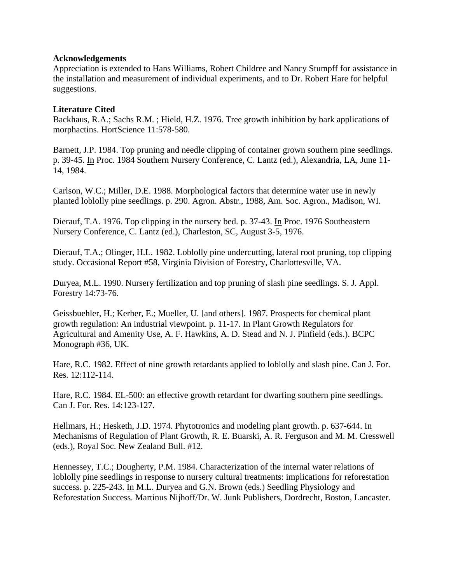#### **Acknowledgements**

Appreciation is extended to Hans Williams, Robert Childree and Nancy Stumpff for assistance in the installation and measurement of individual experiments, and to Dr. Robert Hare for helpful suggestions.

### **Literature Cited**

Backhaus, R.A.; Sachs R.M. ; Hield, H.Z. 1976. Tree growth inhibition by bark applications of morphactins. HortScience 11:578-580.

Barnett, J.P. 1984. Top pruning and needle clipping of container grown southern pine seedlings. p. 39-45. In Proc. 1984 Southern Nursery Conference, C. Lantz (ed.), Alexandria, LA, June 11- 14, 1984.

Carlson, W.C.; Miller, D.E. 1988. Morphological factors that determine water use in newly planted loblolly pine seedlings. p. 290. Agron. Abstr., 1988, Am. Soc. Agron., Madison, WI.

Dierauf, T.A. 1976. Top clipping in the nursery bed. p. 37-43. In Proc. 1976 Southeastern Nursery Conference, C. Lantz (ed.), Charleston, SC, August 3-5, 1976.

Dierauf, T.A.; Olinger, H.L. 1982. Loblolly pine undercutting, lateral root pruning, top clipping study. Occasional Report #58, Virginia Division of Forestry, Charlottesville, VA.

Duryea, M.L. 1990. Nursery fertilization and top pruning of slash pine seedlings. S. J. Appl. Forestry 14:73-76.

Geissbuehler, H.; Kerber, E.; Mueller, U. [and others]. 1987. Prospects for chemical plant growth regulation: An industrial viewpoint. p. 11-17. In Plant Growth Regulators for Agricultural and Amenity Use, A. F. Hawkins, A. D. Stead and N. J. Pinfield (eds.). BCPC Monograph #36, UK.

Hare, R.C. 1982. Effect of nine growth retardants applied to loblolly and slash pine. Can J. For. Res. 12:112-114.

Hare, R.C. 1984. EL-500: an effective growth retardant for dwarfing southern pine seedlings. Can J. For. Res. 14:123-127.

Hellmars, H.; Hesketh, J.D. 1974. Phytotronics and modeling plant growth. p. 637-644. In Mechanisms of Regulation of Plant Growth, R. E. Buarski, A. R. Ferguson and M. M. Cresswell (eds.), Royal Soc. New Zealand Bull. #12.

Hennessey, T.C.; Dougherty, P.M. 1984. Characterization of the internal water relations of loblolly pine seedlings in response to nursery cultural treatments: implications for reforestation success. p. 225-243. In M.L. Duryea and G.N. Brown (eds.) Seedling Physiology and Reforestation Success. Martinus Nijhoff/Dr. W. Junk Publishers, Dordrecht, Boston, Lancaster.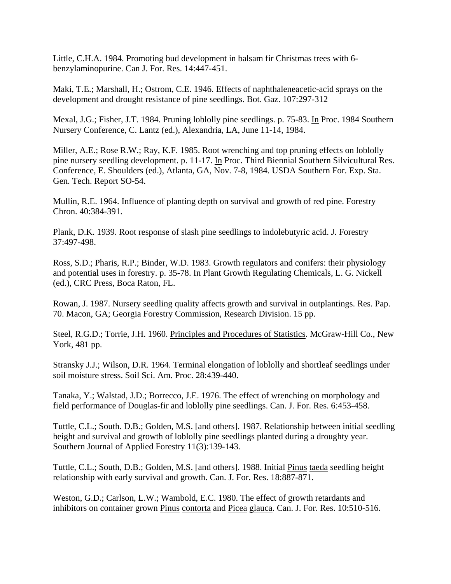Little, C.H.A. 1984. Promoting bud development in balsam fir Christmas trees with 6 benzylaminopurine. Can J. For. Res. 14:447-451.

Maki, T.E.; Marshall, H.; Ostrom, C.E. 1946. Effects of naphthaleneacetic-acid sprays on the development and drought resistance of pine seedlings. Bot. Gaz. 107:297-312

Mexal, J.G.; Fisher, J.T. 1984. Pruning loblolly pine seedlings. p. 75-83. In Proc. 1984 Southern Nursery Conference, C. Lantz (ed.), Alexandria, LA, June 11-14, 1984.

Miller, A.E.; Rose R.W.; Ray, K.F. 1985. Root wrenching and top pruning effects on loblolly pine nursery seedling development. p. 11-17. In Proc. Third Biennial Southern Silvicultural Res. Conference, E. Shoulders (ed.), Atlanta, GA, Nov. 7-8, 1984. USDA Southern For. Exp. Sta. Gen. Tech. Report SO-54.

Mullin, R.E. 1964. Influence of planting depth on survival and growth of red pine. Forestry Chron. 40:384-391.

Plank, D.K. 1939. Root response of slash pine seedlings to indolebutyric acid. J. Forestry 37:497-498.

Ross, S.D.; Pharis, R.P.; Binder, W.D. 1983. Growth regulators and conifers: their physiology and potential uses in forestry. p. 35-78. In Plant Growth Regulating Chemicals, L. G. Nickell (ed.), CRC Press, Boca Raton, FL.

Rowan, J. 1987. Nursery seedling quality affects growth and survival in outplantings. Res. Pap. 70. Macon, GA; Georgia Forestry Commission, Research Division. 15 pp.

Steel, R.G.D.; Torrie, J.H. 1960. Principles and Procedures of Statistics. McGraw-Hill Co., New York, 481 pp.

Stransky J.J.; Wilson, D.R. 1964. Terminal elongation of loblolly and shortleaf seedlings under soil moisture stress. Soil Sci. Am. Proc. 28:439-440.

Tanaka, Y.; Walstad, J.D.; Borrecco, J.E. 1976. The effect of wrenching on morphology and field performance of Douglas-fir and loblolly pine seedlings. Can. J. For. Res. 6:453-458.

Tuttle, C.L.; South. D.B.; Golden, M.S. [and others]. 1987. Relationship between initial seedling height and survival and growth of loblolly pine seedlings planted during a droughty year. Southern Journal of Applied Forestry 11(3):139-143.

Tuttle, C.L.; South, D.B.; Golden, M.S. [and others]. 1988. Initial Pinus taeda seedling height relationship with early survival and growth. Can. J. For. Res. 18:887-871.

Weston, G.D.; Carlson, L.W.; Wambold, E.C. 1980. The effect of growth retardants and inhibitors on container grown Pinus contorta and Picea glauca. Can. J. For. Res. 10:510-516.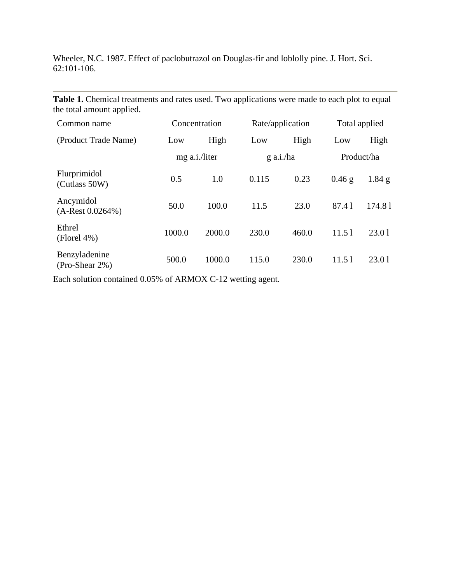Wheeler, N.C. 1987. Effect of paclobutrazol on Douglas-fir and loblolly pine. J. Hort. Sci. 62:101-106.

**Table 1.** Chemical treatments and rates used. Two applications were made to each plot to equal the total amount applied.

| Common name                       |               | Concentration | Rate/application |       | Total applied |          |
|-----------------------------------|---------------|---------------|------------------|-------|---------------|----------|
| (Product Trade Name)              | Low           | High          | Low              | High  | Low           | High     |
|                                   | mg a.i./liter |               | $g$ a.i./ha      |       | Product/ha    |          |
| Flurprimidol<br>(Cutlass 50W)     | 0.5           | 1.0           | 0.115            | 0.23  | $0.46$ g      | $1.84$ g |
| Ancymidol<br>$(A-Rest\ 0.0264\%)$ | 50.0          | 100.0         | 11.5             | 23.0  | 87.41         | 174.81   |
| Ethrel<br>$(Florel 4\%)$          | 1000.0        | 2000.0        | 230.0            | 460.0 | 11.51         | 23.01    |
| Benzyladenine<br>$(Pro-Shear 2%)$ | 500.0         | 1000.0        | 115.0            | 230.0 | 11.51         | 23.01    |

Each solution contained 0.05% of ARMOX C-12 wetting agent.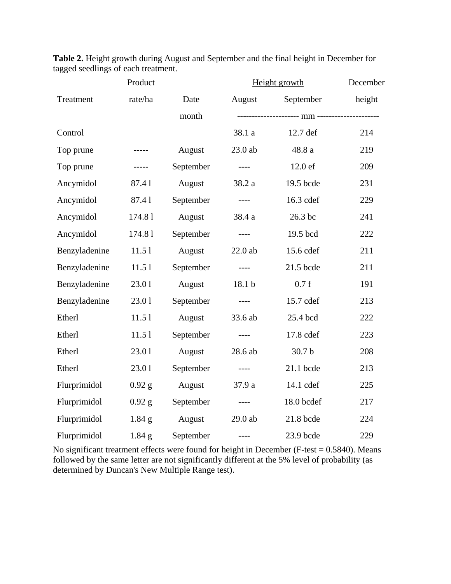| Product                 |                                                                                                                                                                                                                                      |                | Height growth           | December                |     |
|-------------------------|--------------------------------------------------------------------------------------------------------------------------------------------------------------------------------------------------------------------------------------|----------------|-------------------------|-------------------------|-----|
| Treatment               | rate/ha                                                                                                                                                                                                                              | Date           |                         | August September height |     |
|                         |                                                                                                                                                                                                                                      | month          |                         |                         |     |
| Control                 |                                                                                                                                                                                                                                      |                | 38.1 a                  | $12.7$ def              | 214 |
| Top prune               | and the contract of the second                                                                                                                                                                                                       | August         | $23.0$ ab               | 48.8 a                  | 219 |
| Top prune               | <u>and a strong strong strong strong strong strong strong strong strong strong strong strong strong strong strong strong strong strong strong strong strong strong strong strong strong strong strong strong strong strong stron</u> | September ---- |                         | $12.0 \text{ ef}$       | 209 |
| Ancymidol               | 87.41                                                                                                                                                                                                                                | August         | 38.2 a                  | 19.5 bcde               | 231 |
| Ancymidol               | 87.41                                                                                                                                                                                                                                | September ---- |                         | 16.3 cdef               | 229 |
| Ancymidol               | 174.81                                                                                                                                                                                                                               | August         | 38.4 a                  | 26.3 bc                 | 241 |
| Ancymidol               | 174.81                                                                                                                                                                                                                               | September ---- |                         | 19.5 bcd                | 222 |
| Benzyladenine           | 11.5 1                                                                                                                                                                                                                               | August         | $22.0$ ab               | 15.6 cdef               | 211 |
| Benzyladenine 11.5 l    |                                                                                                                                                                                                                                      | September ---- |                         | 21.5 bcde               | 211 |
| Benzyladenine           | 23.01                                                                                                                                                                                                                                | August         | 18.1 <sub>b</sub>       | 0.7f                    | 191 |
| Benzyladenine           | 23.01                                                                                                                                                                                                                                | September ---- |                         | $15.7$ cdef             | 213 |
| Etherl                  | 11.51                                                                                                                                                                                                                                | August         | 33.6 ab                 | 25.4 bcd                | 222 |
| Etherl                  | 11.51                                                                                                                                                                                                                                | September ---- |                         | 17.8 cdef               | 223 |
| Etherl                  | 23.01                                                                                                                                                                                                                                | August 28.6 ab |                         | 30.7 <sub>b</sub>       | 208 |
| Etherl                  | 23.01                                                                                                                                                                                                                                | September ---- |                         | $21.1$ bcde             | 213 |
| Flurprimidol            | $0.92$ g                                                                                                                                                                                                                             | August         | 37.9 a                  | $14.1$ cdef             | 225 |
| $Flurprimidol$ $0.92 g$ |                                                                                                                                                                                                                                      | September ---- |                         | 18.0 bcdef              | 217 |
| Flurprimidol            | $1.84$ g                                                                                                                                                                                                                             | August         | $29.0$ ab               | 21.8 bcde               | 224 |
| Flurprimidol            | $1.84$ g                                                                                                                                                                                                                             | September      | $\qquad \qquad - - - -$ | $23.9$ bcde             | 229 |

**Table 2.** Height growth during August and September and the final height in December for tagged seedlings of each treatment.

No significant treatment effects were found for height in December (F-test =  $0.5840$ ). Means followed by the same letter are not significantly different at the 5% level of probability (as determined by Duncan's New Multiple Range test).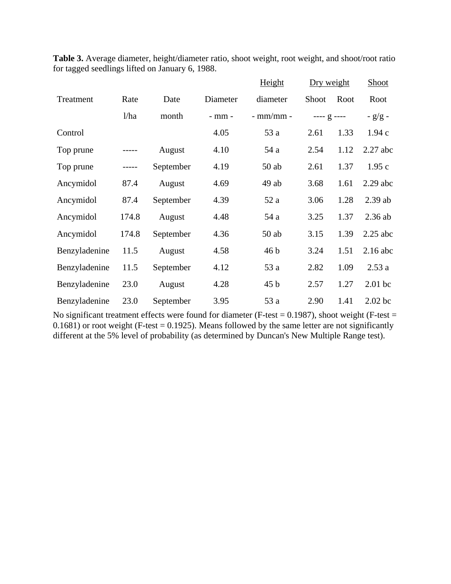|               |       |           |            | Height          | Dry weight  |      | Shoot      |
|---------------|-------|-----------|------------|-----------------|-------------|------|------------|
| Treatment     | Rate  | Date      | Diameter   | diameter        | Shoot       | Root | Root       |
|               | 1/ha  | month     | $-$ mm $-$ | $-$ mm/mm $-$   | $--- g ---$ |      | $- g/g -$  |
| Control       |       |           | 4.05       | 53 a            | 2.61        | 1.33 | 1.94c      |
| Top prune     |       | August    | 4.10       | 54 a            | 2.54        | 1.12 | $2.27$ abc |
| Top prune     |       | September | 4.19       | $50$ ab         | 2.61        | 1.37 | 1.95c      |
| Ancymidol     | 87.4  | August    | 4.69       | 49ab            | 3.68        | 1.61 | $2.29$ abc |
| Ancymidol     | 87.4  | September | 4.39       | 52 a            | 3.06        | 1.28 | $2.39$ ab  |
| Ancymidol     | 174.8 | August    | 4.48       | 54 a            | 3.25        | 1.37 | $2.36$ ab  |
| Ancymidol     | 174.8 | September | 4.36       | $50$ ab         | 3.15        | 1.39 | $2.25$ abc |
| Benzyladenine | 11.5  | August    | 4.58       | 46 <sub>b</sub> | 3.24        | 1.51 | $2.16$ abc |
| Benzyladenine | 11.5  | September | 4.12       | 53 a            | 2.82        | 1.09 | 2.53a      |
| Benzyladenine | 23.0  | August    | 4.28       | 45 b            | 2.57        | 1.27 | $2.01$ bc  |
| Benzyladenine | 23.0  | September | 3.95       | 53 a            | 2.90        | 1.41 | $2.02$ bc  |

**Table 3.** Average diameter, height/diameter ratio, shoot weight, root weight, and shoot/root ratio for tagged seedlings lifted on January 6, 1988.

No significant treatment effects were found for diameter (F-test = 0.1987), shoot weight (F-test =  $0.1681$ ) or root weight (F-test = 0.1925). Means followed by the same letter are not significantly different at the 5% level of probability (as determined by Duncan's New Multiple Range test).